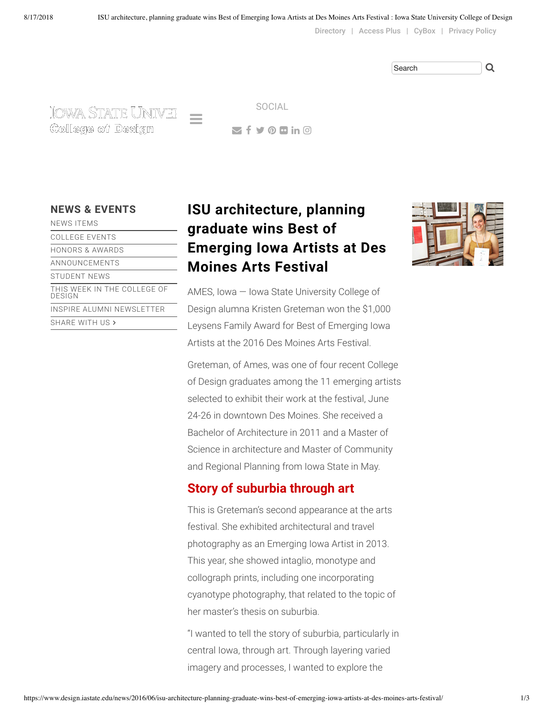[Directory](https://www.design.iastate.edu/college/contact/college-directory/) | [Access Plus](https://accessplus.iastate.edu/frontdoor/login.jsp) | [CyBox](https://iastate.box.com/) | [Privacy Policy](https://www.design.iastate.edu/privacy-policy/)

IOWA STATE UNIVEH College of Design

 $\leq$  f y  $\odot$  m in  $\odot$ SOCIAL

 $\equiv$ 

| <b>NEWS ITEMS</b>                     |
|---------------------------------------|
| COLLEGE EVENTS                        |
| HONORS & AWARDS                       |
| ANNOUNCEMENTS                         |
| STUDENT NEWS                          |
| THIS WEEK IN THE COLLEGE OF<br>DESIGN |
| INSPIRE ALUMNI NEWSLETTER             |
| SHARE WITH US >                       |
|                                       |

# **NEWS & [EVENTS](https://www.design.iastate.edu/news/) ISU architecture, planning graduate wins Best of Emerging Iowa Artists at Des Moines Arts Festival**



AMES, Iowa — Iowa State University College of Design alumna Kristen Greteman won the \$1,000 Leysens Family Award for Best of Emerging Iowa Artists at the 2016 Des Moines Arts Festival.

Greteman, of Ames, was one of four recent College of Design graduates among the 11 emerging artists selected to exhibit their work at the festival, June 24-26 in downtown Des Moines. She received a Bachelor of Architecture in 2011 and a Master of Science in architecture and Master of Community and Regional Planning from Iowa State in May.

### **Story of suburbia through art**

This is Greteman's second appearance at the arts festival. She exhibited architectural and travel photography as an Emerging Iowa Artist in 2013. This year, she showed intaglio, monotype and collograph prints, including one incorporating cyanotype photography, that related to the topic of her master's thesis on suburbia.

"I wanted to tell the story of suburbia, particularly in central Iowa, through art. Through layering varied imagery and processes, I wanted to explore the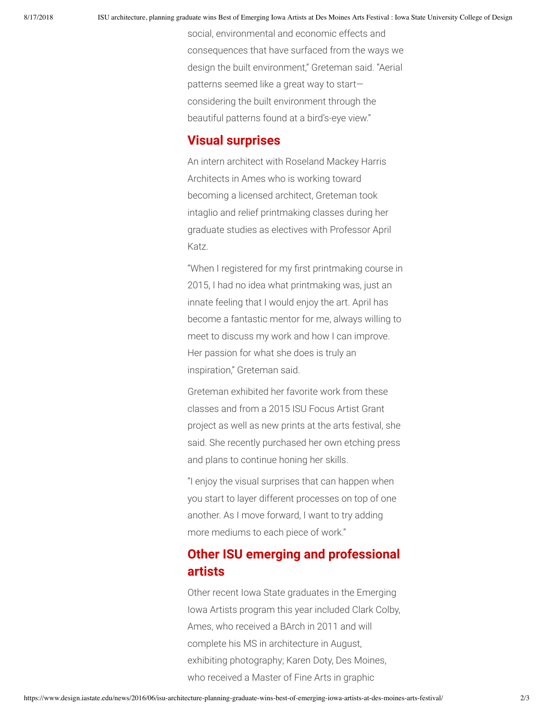social, environmental and economic effects and consequences that have surfaced from the ways we design the built environment," Greteman said. "Aerial patterns seemed like a great way to start considering the built environment through the beautiful patterns found at a bird's-eye view."

#### **Visual surprises**

An intern architect with Roseland Mackey Harris Architects in Ames who is working toward becoming a licensed architect, Greteman took intaglio and relief printmaking classes during her graduate studies as electives with Professor April Katz.

"When I registered for my first printmaking course in 2015, I had no idea what printmaking was, just an innate feeling that I would enjoy the art. April has become a fantastic mentor for me, always willing to meet to discuss my work and how I can improve. Her passion for what she does is truly an inspiration," Greteman said.

Greteman exhibited her favorite work from these classes and from a 2015 ISU Focus Artist Grant project as well as new prints at the arts festival, she said. She recently purchased her own etching press and plans to continue honing her skills.

"I enjoy the visual surprises that can happen when you start to layer different processes on top of one another. As I move forward, I want to try adding more mediums to each piece of work."

## **Other ISU emerging and professional artists**

Other recent Iowa State graduates in the Emerging Iowa Artists program this year included Clark Colby, Ames, who received a BArch in 2011 and will complete his MS in architecture in August, exhibiting photography; Karen Doty, Des Moines, who received a Master of Fine Arts in graphic